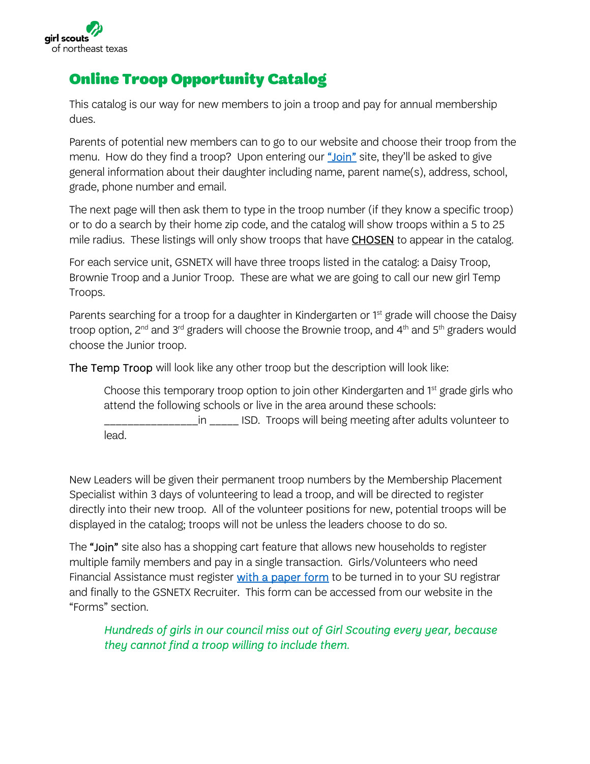

## Online Troop Opportunity Catalog

This catalog is our way for new members to join a troop and pay for annual membership dues.

Parents of potential new members can to go to our website and choose their troop from the menu. How do they find a troop? Upon entering our ["Join"](https://girlscouts.secure.force.com/girl?utm_campaign=gsusa_sf&utm_medium=web&utm_source=council_finder) site, they'll be asked to give general information about their daughter including name, parent name(s), address, school, grade, phone number and email.

The next page will then ask them to type in the troop number (if they know a specific troop) or to do a search by their home zip code, and the catalog will show troops within a 5 to 25 mile radius. These listings will only show troops that have **CHOSEN** to appear in the catalog.

For each service unit, GSNETX will have three troops listed in the catalog: a Daisy Troop, Brownie Troop and a Junior Troop. These are what we are going to call our new girl Temp Troops.

Parents searching for a troop for a daughter in Kindergarten or 1<sup>st</sup> grade will choose the Daisy troop option,  $2^{nd}$  and  $3^{rd}$  graders will choose the Brownie troop, and  $4^{th}$  and  $5^{th}$  graders would choose the Junior troop.

The Temp Troop will look like any other troop but the description will look like:

Choose this temporary troop option to join other Kindergarten and 1st grade girls who attend the following schools or live in the area around these schools: \_\_\_\_\_\_\_\_\_\_\_\_\_\_\_\_in \_\_\_\_\_ ISD. Troops will being meeting after adults volunteer to lead.

New Leaders will be given their permanent troop numbers by the Membership Placement Specialist within 3 days of volunteering to lead a troop, and will be directed to register directly into their new troop. All of the volunteer positions for new, potential troops will be displayed in the catalog; troops will not be unless the leaders choose to do so.

The "Join" site also has a shopping cart feature that allows new households to register multiple family members and pay in a single transaction. Girls/Volunteers who need Financial Assistance must register [with a paper form](http://www.gsnetx.org/content/dam/NE_Texas/documents/finance_FinancialAssistanceRequest.pdf) to be turned in to your SU registrar and finally to the GSNETX Recruiter. This form can be accessed from our website in the "Forms" section.

Hundreds of girls in our council miss out of Girl Scouting every year, because they cannot find a troop willing to include them.